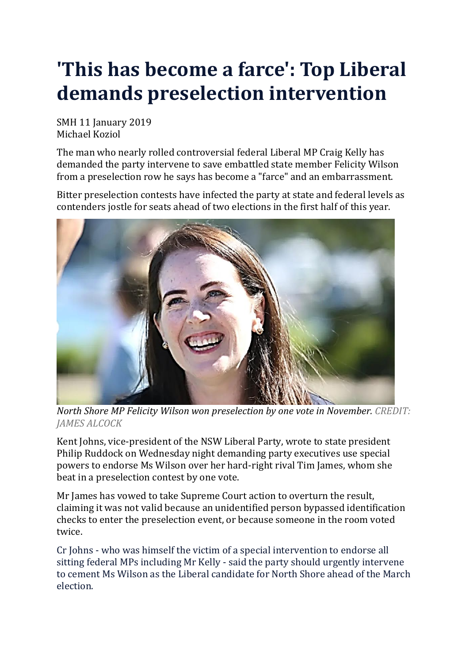## **'This has become a farce': Top Liberal demands preselection intervention**

SMH 11 January 2019 Michael Koziol

The man who nearly rolled controversial federal Liberal MP Craig Kelly has demanded the party intervene to save embattled state member Felicity Wilson from a preselection row he says has become a "farce" and an embarrassment.

Bitter preselection contests have infected the party at state and federal levels as contenders jostle for seats ahead of two elections in the first half of this year[.](javascript:void(0);)



*North Shore MP Felicity Wilson won preselection by one vote in November. CREDIT: JAMES ALCOCK*

Kent Johns, vice-president of the NSW Liberal Party, wrote to state president Philip Ruddock on Wednesday night demanding party executives use special powers to endorse Ms Wilson over her hard-right rival Tim James, whom she beat in a preselection contest by one vote.

Mr James has vowed to take Supreme Court action to overturn the result, claiming it was not valid because an unidentified person bypassed identification checks to enter the preselection event, or because someone in the room voted twice.

Cr Johns - who was himself the victim of a special intervention to endorse all sitting federal MPs including Mr Kelly - said the party should urgently intervene to cement Ms Wilson as the Liberal candidate for North Shore ahead of the March election.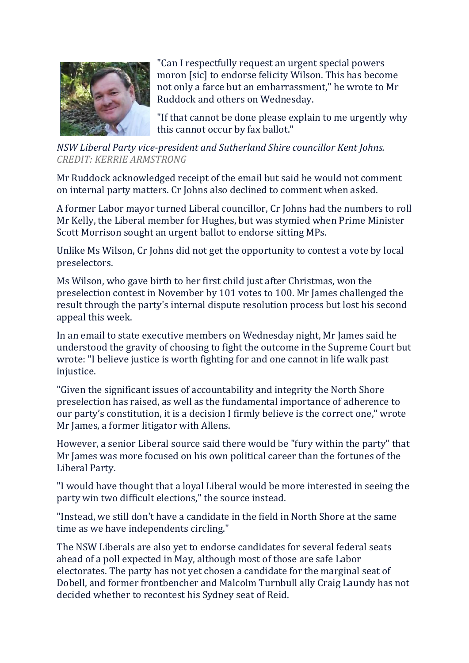

"Can I respectfully request an urgent special powers moron [sic] to endorse felicity Wilson. This has become not only a farce but an embarrassment," he wrote to Mr Ruddock and others on Wednesday.

"If that cannot be done please explain to me urgently why this cannot occur by fax ballot."

*NSW Liberal Party vice-president and Sutherland Shire councillor Kent Johns. CREDIT: KERRIE ARMSTRONG*

Mr Ruddock acknowledged receipt of the email but said he would not comment on internal party matters. Cr Johns also declined to comment when asked.

A former Labor mayor turned Liberal councillor, Cr Johns had the numbers to roll Mr Kelly, the Liberal member for Hughes, but was stymied when Prime Minister Scott Morrison sought an urgent ballot to endorse sitting MPs.

Unlike Ms Wilson, Cr Johns did not get the opportunity to contest a vote by local preselectors.

Ms Wilson, who gave birth to her first child just after Christmas, won the preselection contest in November by 101 votes to 100. Mr James challenged the result through the party's internal dispute resolution process but lost his second appeal this week.

In an email to state executive members on Wednesday night, Mr James said he understood the gravity of choosing to fight the outcome in the Supreme Court but wrote: "I believe justice is worth fighting for and one cannot in life walk past injustice.

"Given the significant issues of accountability and integrity the North Shore preselection has raised, as well as the fundamental importance of adherence to our party's constitution, it is a decision I firmly believe is the correct one," wrote Mr James, a former litigator with Allens.

However, a senior Liberal source said there would be "fury within the party" that Mr James was more focused on his own political career than the fortunes of the Liberal Party.

"I would have thought that a loyal Liberal would be more interested in seeing the party win two difficult elections," the source instead.

"Instead, we still don't have a candidate in the field in North Shore at the same time as we have independents circling."

The NSW Liberals are also yet to endorse candidates for several federal seats ahead of a poll expected in May, although most of those are safe Labor electorates. The party has not yet chosen a candidate for the marginal seat of Dobell, and former frontbencher and Malcolm Turnbull ally Craig Laundy has not decided whether to recontest his Sydney seat of Reid.